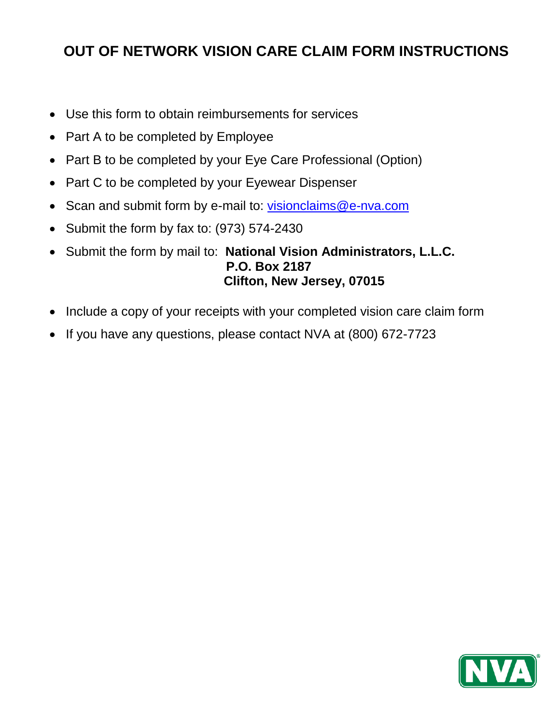## **OUT OF NETWORK VISION CARE CLAIM FORM INSTRUCTIONS**

- Use this form to obtain reimbursements for services
- Part A to be completed by Employee
- Part B to be completed by your Eye Care Professional (Option)
- Part C to be completed by your Eyewear Dispenser
- Scan and submit form by e-mail to: [visionclaims@e-nva.com](mailto:visionclaims@e-nva.com)
- Submit the form by fax to: (973) 574-2430
- Submit the form by mail to: **National Vision Administrators, L.L.C. P.O. Box 2187 Clifton, New Jersey, 07015**
- Include a copy of your receipts with your completed vision care claim form
- If you have any questions, please contact NVA at (800) 672-7723

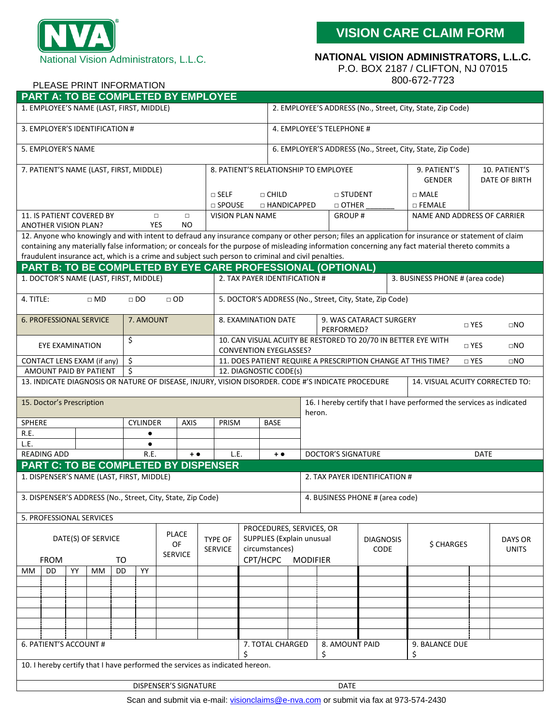

PLEASE PRINT INFORMATION

**VISION CARE CLAIM FORM**

## **NATIONAL VISION ADMINISTRATORS, L.L.C.**

P.O. BOX 2187 / CLIFTON, NJ 07015

800-672-7723

|                                                                                                                 | PART A: TO BE COMPLETED BY EMPLOYEE                         |    |                        |           |                 |  |                            |                                                                                                     |                                                                                                                              |                                                            |                  |                                                             |                                                                                                   |               |                                                                                                                                                     |                             |               |  |  |
|-----------------------------------------------------------------------------------------------------------------|-------------------------------------------------------------|----|------------------------|-----------|-----------------|--|----------------------------|-----------------------------------------------------------------------------------------------------|------------------------------------------------------------------------------------------------------------------------------|------------------------------------------------------------|------------------|-------------------------------------------------------------|---------------------------------------------------------------------------------------------------|---------------|-----------------------------------------------------------------------------------------------------------------------------------------------------|-----------------------------|---------------|--|--|
| 1. EMPLOYEE'S NAME (LAST, FIRST, MIDDLE)                                                                        |                                                             |    |                        |           |                 |  |                            |                                                                                                     |                                                                                                                              |                                                            |                  | 2. EMPLOYEE'S ADDRESS (No., Street, City, State, Zip Code)  |                                                                                                   |               |                                                                                                                                                     |                             |               |  |  |
|                                                                                                                 |                                                             |    |                        |           |                 |  |                            |                                                                                                     |                                                                                                                              |                                                            |                  |                                                             |                                                                                                   |               |                                                                                                                                                     |                             |               |  |  |
| 3. EMPLOYER'S IDENTIFICATION #                                                                                  |                                                             |    |                        |           |                 |  |                            |                                                                                                     |                                                                                                                              | 4. EMPLOYEE'S TELEPHONE #                                  |                  |                                                             |                                                                                                   |               |                                                                                                                                                     |                             |               |  |  |
| 5. EMPLOYER'S NAME                                                                                              |                                                             |    |                        |           |                 |  |                            |                                                                                                     |                                                                                                                              | 6. EMPLOYER'S ADDRESS (No., Street, City, State, Zip Code) |                  |                                                             |                                                                                                   |               |                                                                                                                                                     |                             |               |  |  |
| 7. PATIENT'S NAME (LAST, FIRST, MIDDLE)                                                                         |                                                             |    |                        |           |                 |  |                            |                                                                                                     | 8. PATIENT'S RELATIONSHIP TO EMPLOYEE<br>9. PATIENT'S                                                                        |                                                            |                  |                                                             |                                                                                                   |               |                                                                                                                                                     |                             | 10. PATIENT'S |  |  |
|                                                                                                                 |                                                             |    |                        |           |                 |  |                            |                                                                                                     |                                                                                                                              |                                                            |                  |                                                             |                                                                                                   |               | <b>GENDER</b>                                                                                                                                       | DATE OF BIRTH               |               |  |  |
|                                                                                                                 |                                                             |    |                        |           |                 |  |                            |                                                                                                     |                                                                                                                              | □ CHILD                                                    |                  | $\Box$ STUDENT                                              |                                                                                                   |               | $\Box$ MALE                                                                                                                                         |                             |               |  |  |
|                                                                                                                 |                                                             |    |                        |           |                 |  |                            | $\square$ SELF<br>$\square$ SPOUSE                                                                  | □ HANDICAPPED                                                                                                                |                                                            |                  | $\Box$ OTHER                                                |                                                                                                   | $\Box$ FEMALE |                                                                                                                                                     |                             |               |  |  |
| 11. IS PATIENT COVERED BY<br>$\Box$<br>$\Box$                                                                   |                                                             |    |                        |           |                 |  |                            | <b>VISION PLAN NAME</b>                                                                             |                                                                                                                              |                                                            |                  | GROUP#                                                      |                                                                                                   |               |                                                                                                                                                     | NAME AND ADDRESS OF CARRIER |               |  |  |
| <b>ANOTHER VISION PLAN?</b>                                                                                     |                                                             |    |                        |           | <b>YES</b>      |  | NO.                        |                                                                                                     |                                                                                                                              |                                                            |                  |                                                             |                                                                                                   |               |                                                                                                                                                     |                             |               |  |  |
|                                                                                                                 |                                                             |    |                        |           |                 |  |                            |                                                                                                     |                                                                                                                              |                                                            |                  |                                                             |                                                                                                   |               | 12. Anyone who knowingly and with intent to defraud any insurance company or other person; files an application for insurance or statement of claim |                             |               |  |  |
|                                                                                                                 |                                                             |    |                        |           |                 |  |                            |                                                                                                     |                                                                                                                              |                                                            |                  |                                                             |                                                                                                   |               | containing any materially false information; or conceals for the purpose of misleading information concerning any fact material thereto commits a   |                             |               |  |  |
|                                                                                                                 |                                                             |    |                        |           |                 |  |                            | fraudulent insurance act, which is a crime and subject such person to criminal and civil penalties. |                                                                                                                              |                                                            |                  |                                                             |                                                                                                   |               |                                                                                                                                                     |                             |               |  |  |
|                                                                                                                 |                                                             |    |                        |           |                 |  |                            |                                                                                                     |                                                                                                                              |                                                            |                  | PART B: TO BE COMPLETED BY EYE CARE PROFESSIONAL (OPTIONAL) |                                                                                                   |               |                                                                                                                                                     |                             |               |  |  |
| 1. DOCTOR'S NAME (LAST, FIRST, MIDDLE)                                                                          |                                                             |    |                        |           |                 |  |                            |                                                                                                     | 2. TAX PAYER IDENTIFICATION #                                                                                                |                                                            |                  |                                                             |                                                                                                   |               | 3. BUSINESS PHONE # (area code)                                                                                                                     |                             |               |  |  |
| 4. TITLE:<br>5. DOCTOR'S ADDRESS (No., Street, City, State, Zip Code)<br>$\square$ MD<br>$\Box$ DO<br>$\Box$ OD |                                                             |    |                        |           |                 |  |                            |                                                                                                     |                                                                                                                              |                                                            |                  |                                                             |                                                                                                   |               |                                                                                                                                                     |                             |               |  |  |
| <b>6. PROFESSIONAL SERVICE</b><br>7. AMOUNT                                                                     |                                                             |    |                        |           |                 |  |                            |                                                                                                     | 8. EXAMINATION DATE                                                                                                          |                                                            |                  | PERFORMED?                                                  | 9. WAS CATARACT SURGERY                                                                           |               |                                                                                                                                                     | $\Box$ YES                  | $\square$ NO  |  |  |
| \$                                                                                                              |                                                             |    |                        |           |                 |  |                            |                                                                                                     |                                                                                                                              |                                                            |                  |                                                             |                                                                                                   |               |                                                                                                                                                     |                             |               |  |  |
| EYE EXAMINATION                                                                                                 |                                                             |    |                        |           |                 |  |                            |                                                                                                     | 10. CAN VISUAL ACUITY BE RESTORED TO 20/70 IN BETTER EYE WITH<br>$\Box$ YES<br>$\square$ NO<br><b>CONVENTION EYEGLASSES?</b> |                                                            |                  |                                                             |                                                                                                   |               |                                                                                                                                                     |                             |               |  |  |
| \$<br>CONTACT LENS EXAM (if any)                                                                                |                                                             |    |                        |           |                 |  |                            |                                                                                                     | 11. DOES PATIENT REQUIRE A PRESCRIPTION CHANGE AT THIS TIME?<br>□ YES<br>$\square$ NO                                        |                                                            |                  |                                                             |                                                                                                   |               |                                                                                                                                                     |                             |               |  |  |
|                                                                                                                 |                                                             |    | AMOUNT PAID BY PATIENT | \$        |                 |  |                            |                                                                                                     | 12. DIAGNOSTIC CODE(s)                                                                                                       |                                                            |                  |                                                             |                                                                                                   |               |                                                                                                                                                     |                             |               |  |  |
|                                                                                                                 |                                                             |    |                        |           |                 |  |                            |                                                                                                     |                                                                                                                              |                                                            |                  |                                                             | 13. INDICATE DIAGNOSIS OR NATURE OF DISEASE, INJURY, VISION DISORDER. CODE #'S INDICATE PROCEDURE |               | 14. VISUAL ACUITY CORRECTED TO:                                                                                                                     |                             |               |  |  |
|                                                                                                                 |                                                             |    |                        |           |                 |  |                            |                                                                                                     |                                                                                                                              |                                                            |                  |                                                             |                                                                                                   |               |                                                                                                                                                     |                             |               |  |  |
| 15. Doctor's Prescription<br>16. I hereby certify that I have performed the services as indicated<br>heron.     |                                                             |    |                        |           |                 |  |                            |                                                                                                     |                                                                                                                              |                                                            |                  |                                                             |                                                                                                   |               |                                                                                                                                                     |                             |               |  |  |
| SPHERE                                                                                                          |                                                             |    |                        |           | <b>CYLINDER</b> |  | <b>AXIS</b><br>PRISM       |                                                                                                     | <b>BASE</b>                                                                                                                  |                                                            |                  |                                                             |                                                                                                   |               |                                                                                                                                                     |                             |               |  |  |
| R.E.                                                                                                            |                                                             |    |                        |           | $\bullet$       |  |                            |                                                                                                     |                                                                                                                              |                                                            |                  |                                                             |                                                                                                   |               |                                                                                                                                                     |                             |               |  |  |
| L.E.                                                                                                            |                                                             |    |                        |           | ٠               |  |                            |                                                                                                     |                                                                                                                              |                                                            |                  |                                                             |                                                                                                   |               |                                                                                                                                                     |                             |               |  |  |
| <b>READING ADD</b>                                                                                              |                                                             |    |                        |           | R.E.            |  | $\textcolor{red}{\bullet}$ | L.E.                                                                                                | $+$ $\bullet$                                                                                                                |                                                            |                  | <b>DOCTOR'S SIGNATURE</b>                                   |                                                                                                   |               |                                                                                                                                                     | <b>DATE</b>                 |               |  |  |
|                                                                                                                 |                                                             |    |                        |           |                 |  |                            | <b>PART C: TO BE COMPLETED BY DISPENSER</b>                                                         |                                                                                                                              |                                                            |                  |                                                             |                                                                                                   |               |                                                                                                                                                     |                             |               |  |  |
| 1. DISPENSER'S NAME (LAST, FIRST, MIDDLE)                                                                       |                                                             |    |                        |           |                 |  |                            |                                                                                                     |                                                                                                                              |                                                            |                  | 2. TAX PAYER IDENTIFICATION #                               |                                                                                                   |               |                                                                                                                                                     |                             |               |  |  |
|                                                                                                                 | 3. DISPENSER'S ADDRESS (No., Street, City, State, Zip Code) |    |                        |           |                 |  |                            |                                                                                                     |                                                                                                                              |                                                            |                  | 4. BUSINESS PHONE # (area code)                             |                                                                                                   |               |                                                                                                                                                     |                             |               |  |  |
| 5. PROFESSIONAL SERVICES                                                                                        |                                                             |    |                        |           |                 |  |                            |                                                                                                     |                                                                                                                              |                                                            |                  |                                                             |                                                                                                   |               |                                                                                                                                                     |                             |               |  |  |
|                                                                                                                 |                                                             |    |                        |           |                 |  |                            |                                                                                                     |                                                                                                                              |                                                            |                  |                                                             |                                                                                                   |               |                                                                                                                                                     |                             |               |  |  |
| <b>PLACE</b><br>DATE(S) OF SERVICE                                                                              |                                                             |    |                        |           |                 |  | <b>TYPE OF</b>             | PROCEDURES, SERVICES, OR<br>SUPPLIES (Explain unusual                                               |                                                                                                                              |                                                            | <b>DIAGNOSIS</b> |                                                             |                                                                                                   |               | DAYS OR                                                                                                                                             |                             |               |  |  |
| OF                                                                                                              |                                                             |    |                        |           |                 |  |                            | <b>SERVICE</b>                                                                                      | circumstances)                                                                                                               |                                                            |                  |                                                             | <b>CODE</b>                                                                                       |               | \$ CHARGES                                                                                                                                          |                             | <b>UNITS</b>  |  |  |
| <b>SERVICE</b><br><b>FROM</b><br>TO                                                                             |                                                             |    |                        |           |                 |  |                            |                                                                                                     | CPT/HCPC                                                                                                                     |                                                            |                  | <b>MODIFIER</b>                                             |                                                                                                   |               |                                                                                                                                                     |                             |               |  |  |
| <b>MM</b>                                                                                                       | <b>DD</b>                                                   | YY | MM                     | <b>DD</b> | YY              |  |                            |                                                                                                     |                                                                                                                              |                                                            |                  |                                                             |                                                                                                   |               |                                                                                                                                                     |                             |               |  |  |
|                                                                                                                 |                                                             |    |                        |           |                 |  |                            |                                                                                                     |                                                                                                                              |                                                            |                  |                                                             |                                                                                                   |               |                                                                                                                                                     |                             |               |  |  |
|                                                                                                                 |                                                             |    |                        |           |                 |  |                            |                                                                                                     |                                                                                                                              |                                                            |                  |                                                             |                                                                                                   |               |                                                                                                                                                     |                             |               |  |  |
|                                                                                                                 |                                                             |    |                        |           |                 |  |                            |                                                                                                     |                                                                                                                              |                                                            |                  |                                                             |                                                                                                   |               |                                                                                                                                                     |                             |               |  |  |
|                                                                                                                 |                                                             |    |                        |           |                 |  |                            |                                                                                                     |                                                                                                                              |                                                            |                  |                                                             |                                                                                                   |               |                                                                                                                                                     |                             |               |  |  |
|                                                                                                                 |                                                             |    |                        |           |                 |  |                            |                                                                                                     |                                                                                                                              |                                                            |                  |                                                             |                                                                                                   |               |                                                                                                                                                     |                             |               |  |  |
|                                                                                                                 |                                                             |    |                        |           |                 |  |                            |                                                                                                     |                                                                                                                              |                                                            |                  |                                                             |                                                                                                   |               |                                                                                                                                                     |                             |               |  |  |
| 6. PATIENT'S ACCOUNT #                                                                                          |                                                             |    |                        |           |                 |  |                            |                                                                                                     |                                                                                                                              | 7. TOTAL CHARGED                                           |                  | 8. AMOUNT PAID                                              |                                                                                                   |               | 9. BALANCE DUE                                                                                                                                      |                             |               |  |  |
|                                                                                                                 |                                                             |    |                        |           |                 |  |                            | 10. I hereby certify that I have performed the services as indicated hereon.                        | \$                                                                                                                           |                                                            |                  | \$<br>\$                                                    |                                                                                                   |               |                                                                                                                                                     |                             |               |  |  |
|                                                                                                                 |                                                             |    |                        |           |                 |  |                            |                                                                                                     |                                                                                                                              |                                                            |                  |                                                             |                                                                                                   |               |                                                                                                                                                     |                             |               |  |  |
|                                                                                                                 |                                                             |    |                        |           |                 |  | DISPENSER'S SIGNATURE      |                                                                                                     |                                                                                                                              |                                                            |                  | <b>DATE</b>                                                 |                                                                                                   |               |                                                                                                                                                     |                             |               |  |  |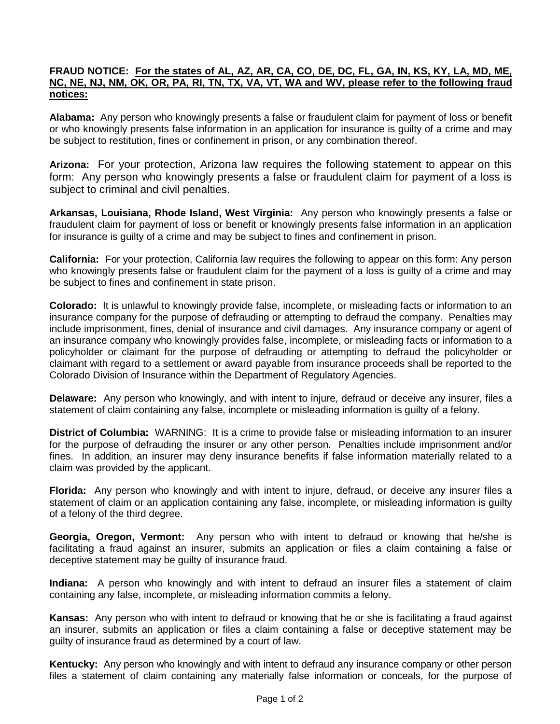## **FRAUD NOTICE: For the states of AL, AZ, AR, CA, CO, DE, DC, FL, GA, IN, KS, KY, LA, MD, ME, NC, NE, NJ, NM, OK, OR, PA, RI, TN, TX, VA, VT, WA and WV, please refer to the following fraud notices:**

**Alabama:** Any person who knowingly presents a false or fraudulent claim for payment of loss or benefit or who knowingly presents false information in an application for insurance is guilty of a crime and may be subject to restitution, fines or confinement in prison, or any combination thereof.

**Arizona:** For your protection, Arizona law requires the following statement to appear on this form: Any person who knowingly presents a false or fraudulent claim for payment of a loss is subject to criminal and civil penalties.

**Arkansas, Louisiana, Rhode Island, West Virginia:** Any person who knowingly presents a false or fraudulent claim for payment of loss or benefit or knowingly presents false information in an application for insurance is guilty of a crime and may be subject to fines and confinement in prison.

**California:** For your protection, California law requires the following to appear on this form: Any person who knowingly presents false or fraudulent claim for the payment of a loss is guilty of a crime and may be subject to fines and confinement in state prison.

**Colorado:** It is unlawful to knowingly provide false, incomplete, or misleading facts or information to an insurance company for the purpose of defrauding or attempting to defraud the company. Penalties may include imprisonment, fines, denial of insurance and civil damages. Any insurance company or agent of an insurance company who knowingly provides false, incomplete, or misleading facts or information to a policyholder or claimant for the purpose of defrauding or attempting to defraud the policyholder or claimant with regard to a settlement or award payable from insurance proceeds shall be reported to the Colorado Division of Insurance within the Department of Regulatory Agencies.

**Delaware:** Any person who knowingly, and with intent to injure, defraud or deceive any insurer, files a statement of claim containing any false, incomplete or misleading information is guilty of a felony.

**District of Columbia:** WARNING: It is a crime to provide false or misleading information to an insurer for the purpose of defrauding the insurer or any other person. Penalties include imprisonment and/or fines. In addition, an insurer may deny insurance benefits if false information materially related to a claim was provided by the applicant.

**Florida:** Any person who knowingly and with intent to injure, defraud, or deceive any insurer files a statement of claim or an application containing any false, incomplete, or misleading information is guilty of a felony of the third degree.

**Georgia, Oregon, Vermont:** Any person who with intent to defraud or knowing that he/she is facilitating a fraud against an insurer, submits an application or files a claim containing a false or deceptive statement may be guilty of insurance fraud.

**Indiana:** A person who knowingly and with intent to defraud an insurer files a statement of claim containing any false, incomplete, or misleading information commits a felony.

**Kansas:** Any person who with intent to defraud or knowing that he or she is facilitating a fraud against an insurer, submits an application or files a claim containing a false or deceptive statement may be guilty of insurance fraud as determined by a court of law.

**Kentucky:** Any person who knowingly and with intent to defraud any insurance company or other person files a statement of claim containing any materially false information or conceals, for the purpose of